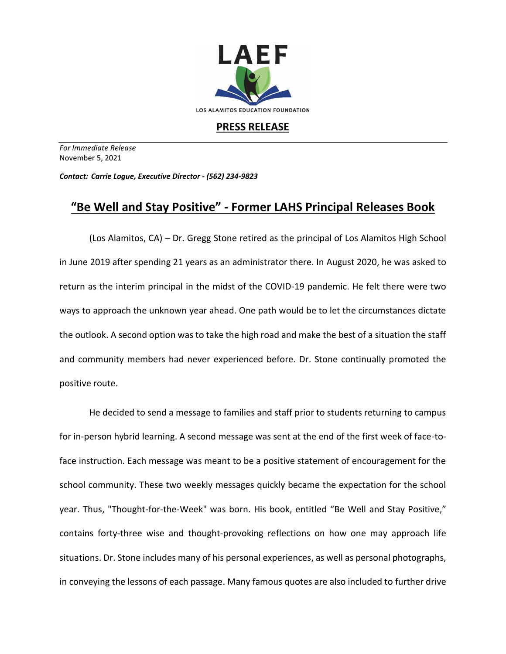

## **PRESS RELEASE**

*For Immediate Release*  November 5, 2021

*Contact: Carrie Logue, Executive Director - (562) 234-9823*

## **"Be Well and Stay Positive" - Former LAHS Principal Releases Book**

(Los Alamitos, CA) – Dr. Gregg Stone retired as the principal of Los Alamitos High School in June 2019 after spending 21 years as an administrator there. In August 2020, he was asked to return as the interim principal in the midst of the COVID-19 pandemic. He felt there were two ways to approach the unknown year ahead. One path would be to let the circumstances dictate the outlook. A second option was to take the high road and make the best of a situation the staff and community members had never experienced before. Dr. Stone continually promoted the positive route.

He decided to send a message to families and staff prior to students returning to campus for in-person hybrid learning. A second message was sent at the end of the first week of face-toface instruction. Each message was meant to be a positive statement of encouragement for the school community. These two weekly messages quickly became the expectation for the school year. Thus, "Thought-for-the-Week" was born. His book, entitled "Be Well and Stay Positive," contains forty-three wise and thought-provoking reflections on how one may approach life situations. Dr. Stone includes many of his personal experiences, as well as personal photographs, in conveying the lessons of each passage. Many famous quotes are also included to further drive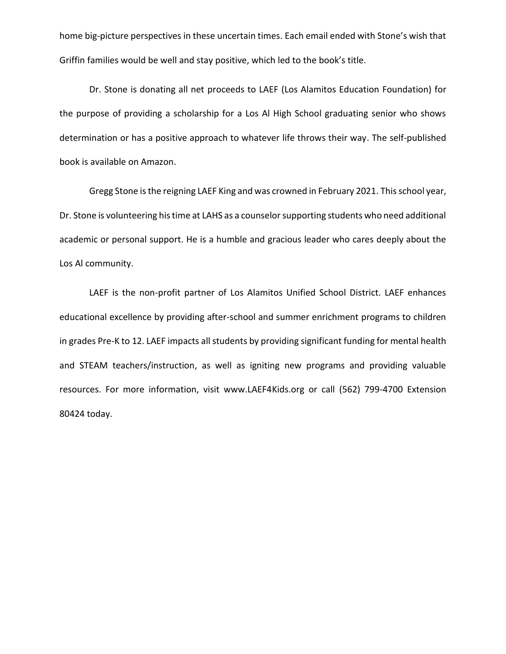home big-picture perspectives in these uncertain times. Each email ended with Stone's wish that Griffin families would be well and stay positive, which led to the book's title.

Dr. Stone is donating all net proceeds to LAEF (Los Alamitos Education Foundation) for the purpose of providing a scholarship for a Los Al High School graduating senior who shows determination or has a positive approach to whatever life throws their way. The self-published book is available on Amazon.

Gregg Stone is the reigning LAEF King and was crowned in February 2021. This school year, Dr. Stone is volunteering his time at LAHS as a counselor supporting students who need additional academic or personal support. He is a humble and gracious leader who cares deeply about the Los Al community.

LAEF is the non-profit partner of Los Alamitos Unified School District. LAEF enhances educational excellence by providing after-school and summer enrichment programs to children in grades Pre-K to 12. LAEF impacts all students by providing significant funding for mental health and STEAM teachers/instruction, as well as igniting new programs and providing valuable resources. For more information, visit www.LAEF4Kids.org or call (562) 799-4700 Extension 80424 today.